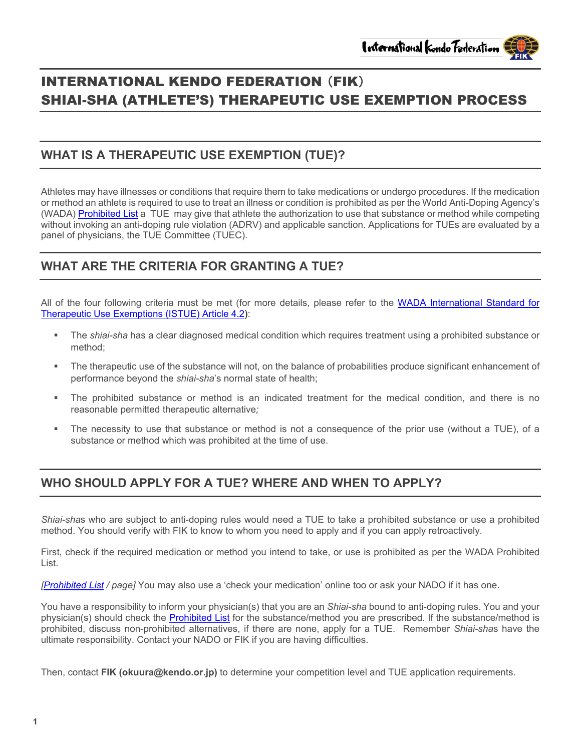# INTERNATIONAL KENDO FEDERATION (FIK) SHIAI-SHA (ATHLETE'S) THERAPEUTIC USE EXEMPTION PROCESS

# **WHAT IS A THERAPEUTIC USE EXEMPTION (TUE)?**

Athletes may have illnesses or conditions that require them to take medications or undergo procedures. If the medication or method an athlete is required to use to treat an illness or condition is prohibited as per the World Anti-Doping Agency's (WADA) [Prohibited List](https://www.wada-ama.org/sites/default/files/resources/files/2022list_final_en_0.pdf) a TUE may give that athlete the authorization to use that substance or method while competing without invoking an anti-doping rule violation (ADRV) and applicable sanction. Applications for TUEs are evaluated by a panel of physicians, the TUE Committee (TUEC).

# **WHAT ARE THE CRITERIA FOR GRANTING A TUE?**

All of the four following criteria must be met (for more details, please refer to the [WADA International Standard for](https://www.wada-ama.org/sites/default/files/resources/files/international_standard_istue_-_2021.pdf)  [Therapeutic Use Exemptions \(ISTUE\) Article 4.2\)](https://www.wada-ama.org/sites/default/files/resources/files/international_standard_istue_-_2021.pdf):

- The *shiai-sha* has a clear diagnosed medical condition which requires treatment using a prohibited substance or method;
- The therapeutic use of the substance will not, on the balance of probabilities produce significant enhancement of performance beyond the *shiai-sha*'s normal state of health;
- The prohibited substance or method is an indicated treatment for the medical condition, and there is no reasonable permitted therapeutic alternative*;*
- The necessity to use that substance or method is not a consequence of the prior use (without a TUE), of a substance or method which was prohibited at the time of use.

# **WHO SHOULD APPLY FOR A TUE? WHERE AND WHEN TO APPLY?**

*Shiai-sha*s who are subject to anti-doping rules would need a TUE to take a prohibited substance or use a prohibited method. You should verify with FIK to know to whom you need to apply and if you can apply retroactively.

First, check if the required medication or method you intend to take, or use is prohibited as per the WADA Prohibited List.

*[\[Prohibited List](https://www.wada-ama.org/sites/default/files/resources/files/2022list_final_en_0.pdf) / page]* You may also use a 'check your medication' online too or ask your NADO if it has one.

You have a responsibility to inform your physician(s) that you are an *Shiai-sha* bound to anti-doping rules. You and your physician(s) should check the [Prohibited List](https://www.wada-ama.org/sites/default/files/resources/files/2022list_final_en_0.pdf) for the substance/method you are prescribed. If the substance/method is prohibited, discuss non-prohibited alternatives, if there are none, apply for a TUE. Remember *Shiai-sha*s have the ultimate responsibility. Contact your NADO or FIK if you are having difficulties.

Then, contact **FIK (okuura@kendo.or.jp)** to determine your competition level and TUE application requirements.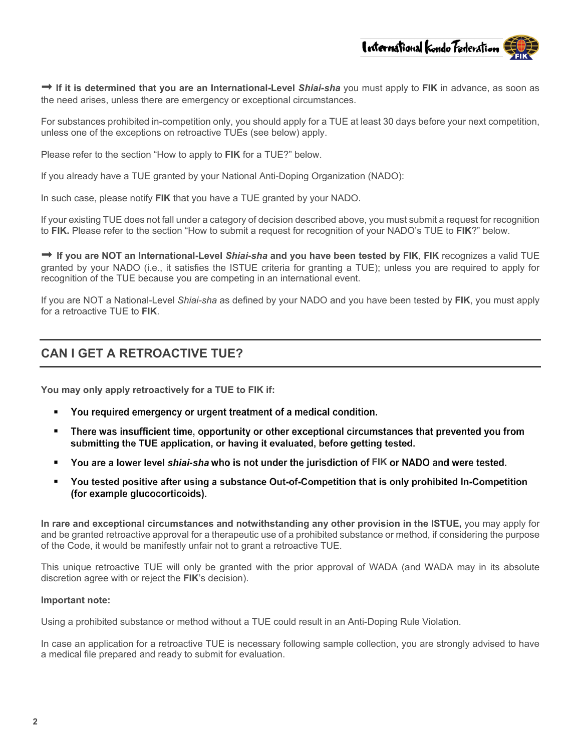

**→ If it is determined that you are an International-Level Shiai-sha you must apply to FIK in advance, as soon as** the need arises, unless there are emergency or exceptional circumstances.

For substances prohibited in-competition only, you should apply for a TUE at least 30 days before your next competition, unless one of the exceptions on retroactive TUEs (see below) apply.

Please refer to the section "How to apply to **FIK** for a TUE?" below.

If you already have a TUE granted by your National Anti-Doping Organization (NADO):

In such case, please notify **FIK** that you have a TUE granted by your NADO.

If your existing TUE does not fall under a category of decision described above, you must submit a request for recognition to **FIK.** Please refer to the section "How to submit a request for recognition of your NADO's TUE to **FIK**?" below.

 **If you are NOT an International-Level** *Shiai-sha* **and you have been tested by FIK**, **FIK** recognizes a valid TUE granted by your NADO (i.e., it satisfies the ISTUE criteria for granting a TUE); unless you are required to apply for recognition of the TUE because you are competing in an international event.

If you are NOT a National-Level *Shiai-sha* as defined by your NADO and you have been tested by **FIK**, you must apply for a retroactive TUE to **FIK**.

#### **CAN I GET A RETROACTIVE TUE?**

**You may only apply retroactively for a TUE to FIK if:**

- You required emergency or urgent treatment of a medical condition.  $\blacksquare$
- There was insufficient time, opportunity or other exceptional circumstances that prevented you from  $\blacksquare$ submitting the TUE application, or having it evaluated, before getting tested.
- You are a lower level shiai-sha who is not under the jurisdiction of FIK or NADO and were tested.
- You tested positive after using a substance Out-of-Competition that is only prohibited In-Competition (for example glucocorticoids).

**In rare and exceptional circumstances and notwithstanding any other provision in the ISTUE,** you may apply for and be granted retroactive approval for a therapeutic use of a prohibited substance or method, if considering the purpose of the Code, it would be manifestly unfair not to grant a retroactive TUE.

This unique retroactive TUE will only be granted with the prior approval of WADA (and WADA may in its absolute discretion agree with or reject the **FIK**'s decision).

#### **Important note:**

Using a prohibited substance or method without a TUE could result in an Anti-Doping Rule Violation.

In case an application for a retroactive TUE is necessary following sample collection, you are strongly advised to have a medical file prepared and ready to submit for evaluation.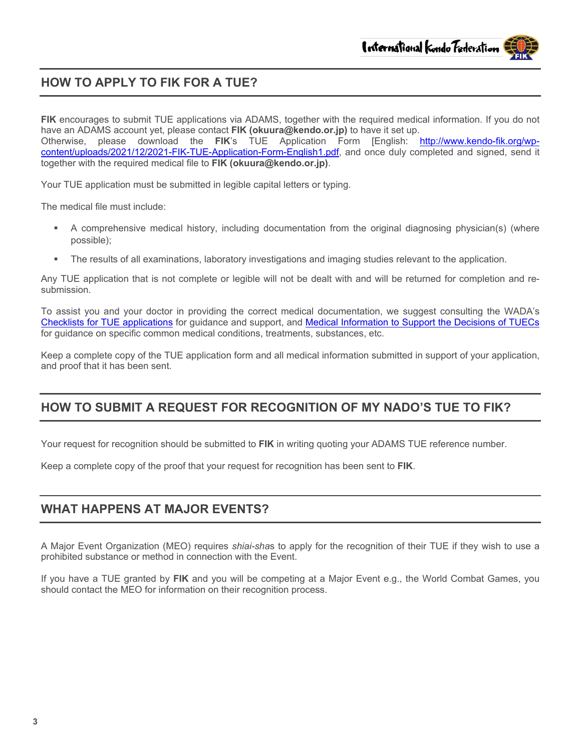# **HOW TO APPLY TO FIK FOR A TUE?**

**FIK** encourages to submit TUE applications via ADAMS, together with the required medical information. If you do not have an ADAMS account yet, please contact **FIK (okuura@kendo.or.jp)** to have it set up. please download the **FIK**'s TUE Application Form [English: [http://www.kendo-fik.org/wp](http://www.kendo-fik.org/wp-content/uploads/2021/12/2021-FIK-TUE-Application-Form-English1.pdf)[content/uploads/2021/12/2021-FIK-TUE-Application-Form-English1.pdf,](http://www.kendo-fik.org/wp-content/uploads/2021/12/2021-FIK-TUE-Application-Form-English1.pdf) and once duly completed and signed, send it together with the required medical file to **FIK (okuura@kendo.or.jp)**.

Your TUE application must be submitted in legible capital letters or typing.

The medical file must include:

- A comprehensive medical history, including documentation from the original diagnosing physician(s) (where possible);
- The results of all examinations, laboratory investigations and imaging studies relevant to the application.

Any TUE application that is not complete or legible will not be dealt with and will be returned for completion and resubmission.

To assist you and your doctor in providing the correct medical documentation, we suggest consulting the WADA's [Checklists for TUE applications](https://www.wada-ama.org/en/resources/search?f%5B0%5D=field_resource_collections%3A225&f%5B1%5D=field_resource_versions%253Afield_resource_version_language%3A91) for guidance and support, and [Medical Information to Support the Decisions of TUECs](https://www.wada-ama.org/en/resources/search?f%5B0%5D=field_resource_collections%3A158) for guidance on specific common medical conditions, treatments, substances, etc.

Keep a complete copy of the TUE application form and all medical information submitted in support of your application, and proof that it has been sent.

# **HOW TO SUBMIT A REQUEST FOR RECOGNITION OF MY NADO'S TUE TO FIK?**

Your request for recognition should be submitted to **FIK** in writing quoting your ADAMS TUE reference number.

Keep a complete copy of the proof that your request for recognition has been sent to **FIK**.

#### **WHAT HAPPENS AT MAJOR EVENTS?**

A Major Event Organization (MEO) requires *shiai-sha*s to apply for the recognition of their TUE if they wish to use a prohibited substance or method in connection with the Event.

If you have a TUE granted by **FIK** and you will be competing at a Major Event e.g., the World Combat Games, you should contact the MEO for information on their recognition process.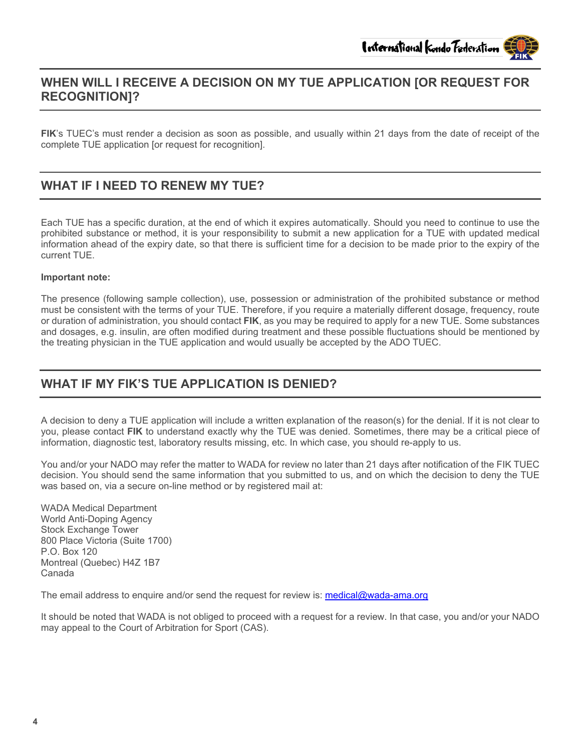# **WHEN WILL I RECEIVE A DECISION ON MY TUE APPLICATION [OR REQUEST FOR RECOGNITION]?**

**FIK**'s TUEC's must render a decision as soon as possible, and usually within 21 days from the date of receipt of the complete TUE application [or request for recognition].

#### **WHAT IF I NEED TO RENEW MY TUE?**

Each TUE has a specific duration, at the end of which it expires automatically. Should you need to continue to use the prohibited substance or method, it is your responsibility to submit a new application for a TUE with updated medical information ahead of the expiry date, so that there is sufficient time for a decision to be made prior to the expiry of the current TUE.

#### **Important note:**

The presence (following sample collection), use, possession or administration of the prohibited substance or method must be consistent with the terms of your TUE. Therefore, if you require a materially different dosage, frequency, route or duration of administration, you should contact **FIK**, as you may be required to apply for a new TUE. Some substances and dosages, e.g. insulin, are often modified during treatment and these possible fluctuations should be mentioned by the treating physician in the TUE application and would usually be accepted by the ADO TUEC.

#### **WHAT IF MY FIK'S TUE APPLICATION IS DENIED?**

A decision to deny a TUE application will include a written explanation of the reason(s) for the denial. If it is not clear to you, please contact **FIK** to understand exactly why the TUE was denied. Sometimes, there may be a critical piece of information, diagnostic test, laboratory results missing, etc. In which case, you should re-apply to us.

You and/or your NADO may refer the matter to WADA for review no later than 21 days after notification of the FIK TUEC decision. You should send the same information that you submitted to us, and on which the decision to deny the TUE was based on, via a secure on-line method or by registered mail at:

WADA Medical Department World Anti-Doping Agency Stock Exchange Tower 800 Place Victoria (Suite 1700) P.O. Box 120 Montreal (Quebec) H4Z 1B7 Canada

The email address to enquire and/or send the request for review is: [medical@wada-ama.org](mailto:medical@wada-ama.org)

It should be noted that WADA is not obliged to proceed with a request for a review. In that case, you and/or your NADO may appeal to the Court of Arbitration for Sport (CAS).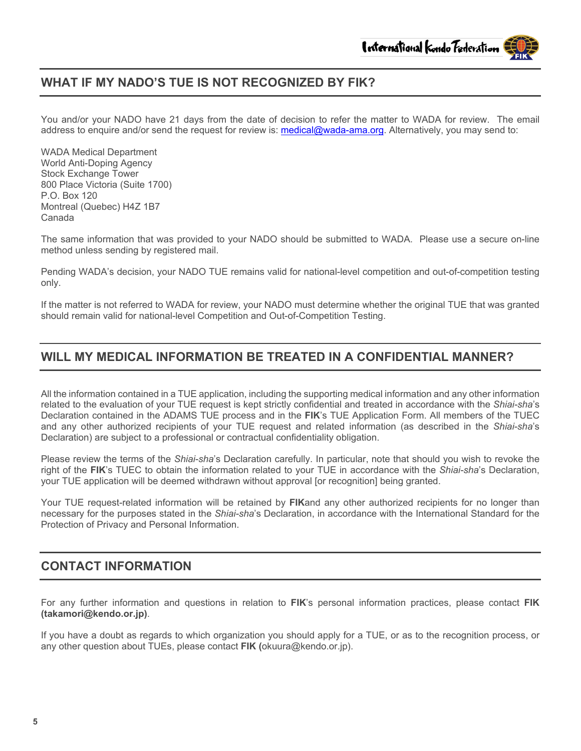### **WHAT IF MY NADO'S TUE IS NOT RECOGNIZED BY FIK?**

You and/or your NADO have 21 days from the date of decision to refer the matter to WADA for review. The email address to enquire and/or send the request for review is: [medical@wada-ama.org.](mailto:medical@wada-ama.org) Alternatively, you may send to:

WADA Medical Department World Anti-Doping Agency Stock Exchange Tower 800 Place Victoria (Suite 1700) P.O. Box 120 Montreal (Quebec) H4Z 1B7 Canada

The same information that was provided to your NADO should be submitted to WADA. Please use a secure on-line method unless sending by registered mail.

Pending WADA's decision, your NADO TUE remains valid for national-level competition and out-of-competition testing only.

If the matter is not referred to WADA for review, your NADO must determine whether the original TUE that was granted should remain valid for national-level Competition and Out-of-Competition Testing.

#### **WILL MY MEDICAL INFORMATION BE TREATED IN A CONFIDENTIAL MANNER?**

All the information contained in a TUE application, including the supporting medical information and any other information related to the evaluation of your TUE request is kept strictly confidential and treated in accordance with the *Shiai-sha*'s Declaration contained in the ADAMS TUE process and in the **FIK**'s TUE Application Form. All members of the TUEC and any other authorized recipients of your TUE request and related information (as described in the *Shiai-sha*'s Declaration) are subject to a professional or contractual confidentiality obligation.

Please review the terms of the *Shiai-sha*'s Declaration carefully. In particular, note that should you wish to revoke the right of the **FIK**'s TUEC to obtain the information related to your TUE in accordance with the *Shiai-sha*'s Declaration, your TUE application will be deemed withdrawn without approval [or recognition] being granted.

Your TUE request-related information will be retained by **FIK**and any other authorized recipients for no longer than necessary for the purposes stated in the *Shiai-sha*'s Declaration, in accordance with the International Standard for the Protection of Privacy and Personal Information.

#### **CONTACT INFORMATION**

For any further information and questions in relation to **FIK**'s personal information practices, please contact **FIK (takamori@kendo.or.jp)**.

If you have a doubt as regards to which organization you should apply for a TUE, or as to the recognition process, or any other question about TUEs, please contact **FIK (**okuura@kendo.or.jp).